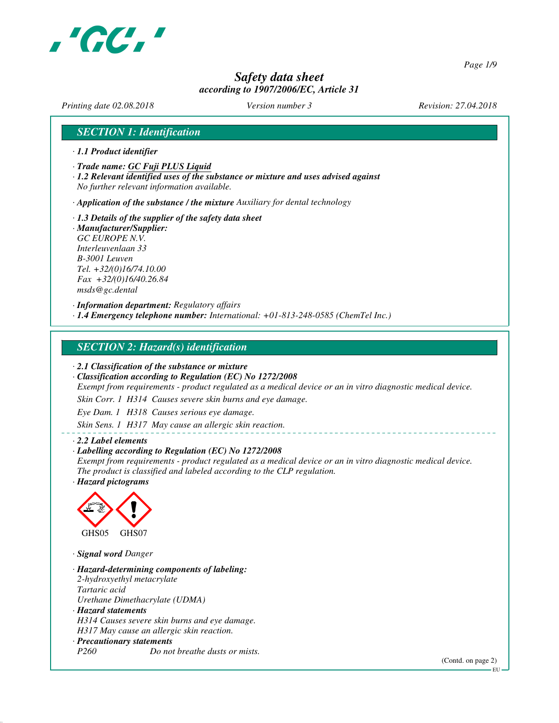

*Page 1/9*

# *Safety data sheet according to 1907/2006/EC, Article 31*

*Printing date 02.08.2018 Version number 3 Revision: 27.04.2018*

## *SECTION 1: Identification*

- *· 1.1 Product identifier*
- *· Trade name: GC Fuji PLUS Liquid*
- *· 1.2 Relevant identified uses of the substance or mixture and uses advised against No further relevant information available.*

*· Application of the substance / the mixture Auxiliary for dental technology*

*· 1.3 Details of the supplier of the safety data sheet · Manufacturer/Supplier: GC EUROPE N.V. Interleuvenlaan 33 B-3001 Leuven Tel. +32/(0)16/74.10.00 Fax +32/(0)16/40.26.84 msds@gc.dental*

*· Information department: Regulatory affairs · 1.4 Emergency telephone number: International: +01-813-248-0585 (ChemTel Inc.)*

### *SECTION 2: Hazard(s) identification*

*· 2.1 Classification of the substance or mixture*

*· Classification according to Regulation (EC) No 1272/2008*

*Exempt from requirements - product regulated as a medical device or an in vitro diagnostic medical device.*

*Skin Corr. 1 H314 Causes severe skin burns and eye damage.*

*Eye Dam. 1 H318 Causes serious eye damage.*

*Skin Sens. 1 H317 May cause an allergic skin reaction.*

#### *· 2.2 Label elements*

#### *· Labelling according to Regulation (EC) No 1272/2008*

*Exempt from requirements - product regulated as a medical device or an in vitro diagnostic medical device. The product is classified and labeled according to the CLP regulation.*

*· Hazard pictograms*



*· Signal word Danger*

*· Hazard-determining components of labeling: 2-hydroxyethyl metacrylate Tartaric acid Urethane Dimethacrylate (UDMA) · Hazard statements H314 Causes severe skin burns and eye damage. H317 May cause an allergic skin reaction. · Precautionary statements P260 Do not breathe dusts or mists.*

(Contd. on page 2)

EU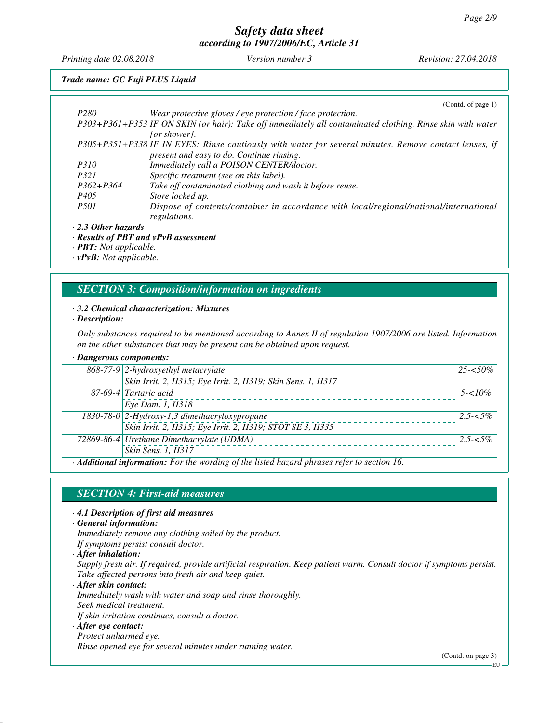*Printing date 02.08.2018 Version number 3 Revision: 27.04.2018*

### *Trade name: GC Fuji PLUS Liquid*

|                           | (Contd. of page 1)                                                                                         |
|---------------------------|------------------------------------------------------------------------------------------------------------|
| P <sub>280</sub>          | Wear protective gloves / eye protection / face protection.                                                 |
|                           | P303+P361+P353 IF ON SKIN (or hair): Take off immediately all contaminated clothing. Rinse skin with water |
|                           | [or shower].                                                                                               |
|                           | P305+P351+P338 IF IN EYES: Rinse cautiously with water for several minutes. Remove contact lenses, if      |
|                           | present and easy to do. Continue rinsing.                                                                  |
| <i>P310</i>               | Immediately call a POISON CENTER/doctor.                                                                   |
| P321                      | Specific treatment (see on this label).                                                                    |
| $P362 + P364$             | Take off contaminated clothing and wash it before reuse.                                                   |
| P405                      | Store locked up.                                                                                           |
| <i>P501</i>               | Dispose of contents/container in accordance with local/regional/national/international                     |
|                           | regulations.                                                                                               |
| $\cdot$ 2.3 Other hazards |                                                                                                            |

*· Results of PBT and vPvB assessment*

*· PBT: Not applicable.*

*· vPvB: Not applicable.*

### *SECTION 3: Composition/information on ingredients*

#### *· 3.2 Chemical characterization: Mixtures*

#### *· Description:*

*Only substances required to be mentioned according to Annex II of regulation 1907/2006 are listed. Information on the other substances that may be present can be obtained upon request.*

| · Dangerous components: |                                                                                           |             |
|-------------------------|-------------------------------------------------------------------------------------------|-------------|
|                         | 868-77-9 2-hydroxyethyl metacrylate                                                       | $25 - 50\%$ |
|                         | Skin Irrit. 2, H315; Eye Irrit. 2, H319; Skin Sens. 1, H317                               |             |
|                         | 87-69-4 Tartaric acid                                                                     | $5 - 10\%$  |
|                         | Eye Dam. 1, H318                                                                          |             |
|                         | 1830-78-0 2-Hydroxy-1,3 dimethacryloxypropane                                             | $2.5 - 5\%$ |
|                         | Skin Irrit. 2, H315; Eye Irrit. 2, H319; STOT SE 3, H335                                  |             |
|                         | 72869-86-4 Urethane Dimethacrylate (UDMA)                                                 | $2.5 - 5\%$ |
|                         | Skin Sens. 1, H317                                                                        |             |
|                         | A different information. For the wording of the listed becaud physeses weby to section 16 |             |

*· Additional information: For the wording of the listed hazard phrases refer to section 16.*

### *SECTION 4: First-aid measures*

*· 4.1 Description of first aid measures*

*· General information:*

*Immediately remove any clothing soiled by the product.*

*If symptoms persist consult doctor.*

*· After inhalation:*

*Supply fresh air. If required, provide artificial respiration. Keep patient warm. Consult doctor if symptoms persist. Take affected persons into fresh air and keep quiet.*

*· After skin contact: Immediately wash with water and soap and rinse thoroughly. Seek medical treatment. If skin irritation continues, consult a doctor.*

#### *· After eye contact:*

*Protect unharmed eye.*

*Rinse opened eye for several minutes under running water.*

(Contd. on page 3)

EU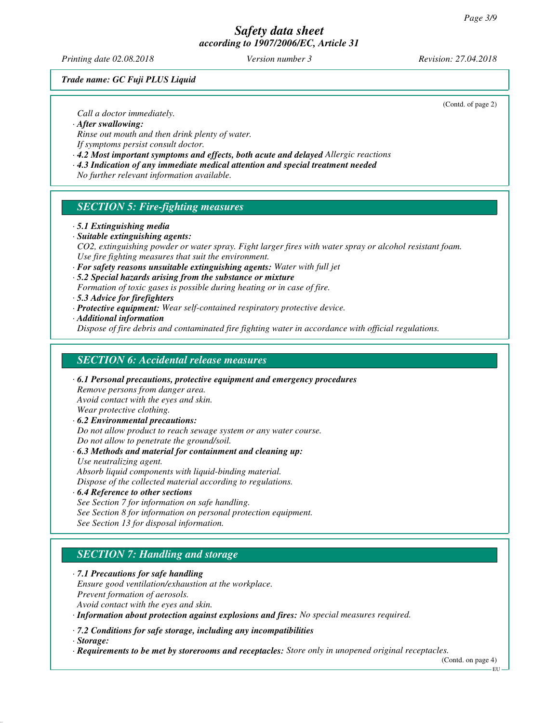*Printing date 02.08.2018 Version number 3 Revision: 27.04.2018*

*Trade name: GC Fuji PLUS Liquid*

(Contd. of page 2)

*Call a doctor immediately.*

*· After swallowing:*

*Rinse out mouth and then drink plenty of water. If symptoms persist consult doctor.*

*· 4.2 Most important symptoms and effects, both acute and delayed Allergic reactions*

*· 4.3 Indication of any immediate medical attention and special treatment needed*

*No further relevant information available.*

## *SECTION 5: Fire-fighting measures*

#### *· 5.1 Extinguishing media*

*· Suitable extinguishing agents:*

*CO2, extinguishing powder or water spray. Fight larger fires with water spray or alcohol resistant foam. Use fire fighting measures that suit the environment.*

- *· For safety reasons unsuitable extinguishing agents: Water with full jet*
- *· 5.2 Special hazards arising from the substance or mixture*
- *Formation of toxic gases is possible during heating or in case of fire.*
- *· 5.3 Advice for firefighters*
- *· Protective equipment: Wear self-contained respiratory protective device.*

*· Additional information*

*Dispose of fire debris and contaminated fire fighting water in accordance with official regulations.*

### *SECTION 6: Accidental release measures*

*· 6.1 Personal precautions, protective equipment and emergency procedures Remove persons from danger area. Avoid contact with the eyes and skin. Wear protective clothing. · 6.2 Environmental precautions: Do not allow product to reach sewage system or any water course. Do not allow to penetrate the ground/soil.*

*· 6.3 Methods and material for containment and cleaning up:*

*Use neutralizing agent. Absorb liquid components with liquid-binding material.*

*Dispose of the collected material according to regulations.*

#### *· 6.4 Reference to other sections*

*See Section 7 for information on safe handling. See Section 8 for information on personal protection equipment. See Section 13 for disposal information.*

# *SECTION 7: Handling and storage*

*· 7.1 Precautions for safe handling Ensure good ventilation/exhaustion at the workplace. Prevent formation of aerosols. Avoid contact with the eyes and skin.*

*· Information about protection against explosions and fires: No special measures required.*

*· 7.2 Conditions for safe storage, including any incompatibilities*

*· Storage:*

*· Requirements to be met by storerooms and receptacles: Store only in unopened original receptacles.*

(Contd. on page 4)

EU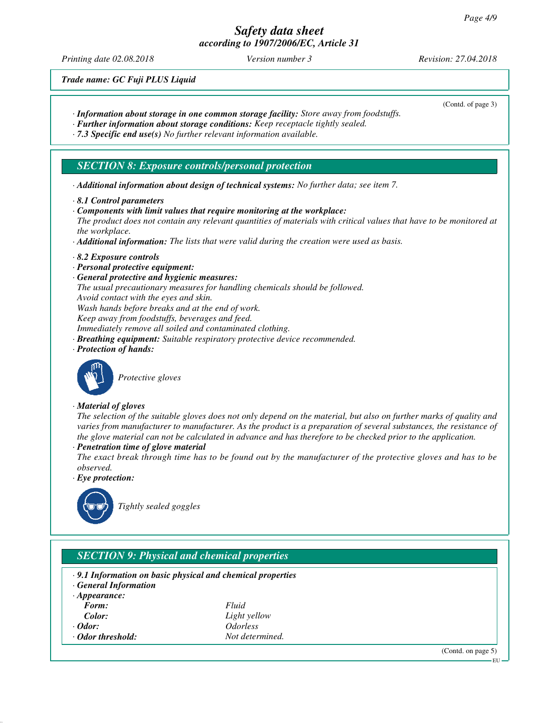*Printing date 02.08.2018 Version number 3 Revision: 27.04.2018*

*Trade name: GC Fuji PLUS Liquid*

- *· Information about storage in one common storage facility: Store away from foodstuffs.*
- *· Further information about storage conditions: Keep receptacle tightly sealed.*
- *· 7.3 Specific end use(s) No further relevant information available.*

### *SECTION 8: Exposure controls/personal protection*

- *· Additional information about design of technical systems: No further data; see item 7.*
- *· 8.1 Control parameters*
- *· Components with limit values that require monitoring at the workplace:*

*The product does not contain any relevant quantities of materials with critical values that have to be monitored at the workplace.*

- *· Additional information: The lists that were valid during the creation were used as basis.*
- *· 8.2 Exposure controls*
- *· Personal protective equipment:*
- *· General protective and hygienic measures:*
- *The usual precautionary measures for handling chemicals should be followed.*
- *Avoid contact with the eyes and skin.*
- *Wash hands before breaks and at the end of work.*
- *Keep away from foodstuffs, beverages and feed.*
- *Immediately remove all soiled and contaminated clothing.*
- *· Breathing equipment: Suitable respiratory protective device recommended.*
- *· Protection of hands:*



*Protective gloves*

#### *· Material of gloves*

*The selection of the suitable gloves does not only depend on the material, but also on further marks of quality and varies from manufacturer to manufacturer. As the product is a preparation of several substances, the resistance of the glove material can not be calculated in advance and has therefore to be checked prior to the application.*

*· Penetration time of glove material*

*The exact break through time has to be found out by the manufacturer of the protective gloves and has to be observed.*

*· Eye protection:*



*Tightly sealed goggles*

## *SECTION 9: Physical and chemical properties*

- *· 9.1 Information on basic physical and chemical properties*
- *· General Information*
- *· Appearance: Form: Fluid*
- 
- 
- *Color: Light yellow · Odor: Odorless <u>Odor</u> threshold: <i>Not determined.*

(Contd. on page 5)

#### (Contd. of page 3)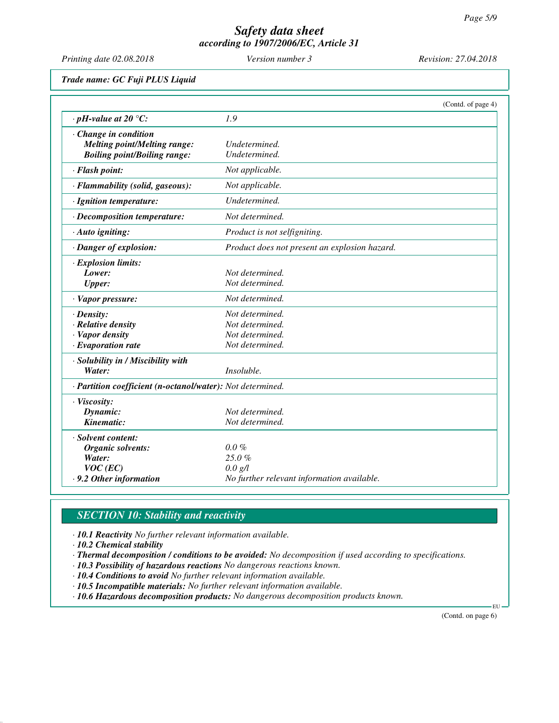*Printing date 02.08.2018 Version number 3 Revision: 27.04.2018*

*Trade name: GC Fuji PLUS Liquid*

|                                                            | (Contd. of page 4)                            |  |
|------------------------------------------------------------|-----------------------------------------------|--|
| $\cdot$ pH-value at 20 °C:                                 | 1.9                                           |  |
| $\cdot$ Change in condition                                |                                               |  |
| <b>Melting point/Melting range:</b>                        | Undetermined.                                 |  |
| <b>Boiling point/Boiling range:</b>                        | Undetermined.                                 |  |
| · Flash point:                                             | Not applicable.                               |  |
| · Flammability (solid, gaseous):                           | Not applicable.                               |  |
| · Ignition temperature:                                    | Undetermined.                                 |  |
| · Decomposition temperature:                               | Not determined.                               |  |
| · Auto igniting:                                           | Product is not selfigniting.                  |  |
| · Danger of explosion:                                     | Product does not present an explosion hazard. |  |
| $\cdot$ Explosion limits:                                  |                                               |  |
| Lower:                                                     | Not determined.                               |  |
| <b>Upper:</b>                                              | Not determined.                               |  |
| · Vapor pressure:                                          | Not determined.                               |  |
| $\cdot$ Density:                                           | Not determined.                               |  |
| $\cdot$ Relative density                                   | Not determined.                               |  |
| · Vapor density                                            | Not determined.                               |  |
| $\cdot$ Evaporation rate                                   | Not determined.                               |  |
| · Solubility in / Miscibility with                         |                                               |  |
| Water:                                                     | Insoluble.                                    |  |
| · Partition coefficient (n-octanol/water): Not determined. |                                               |  |
| · Viscosity:                                               |                                               |  |
| Dynamic:                                                   | Not determined.                               |  |
| Kinematic:                                                 | Not determined.                               |  |
| · Solvent content:                                         |                                               |  |
| Organic solvents:                                          | $0.0\%$                                       |  |
| Water:                                                     | 25.0%                                         |  |
| $VOC$ (EC)                                                 | 0.0 g/l                                       |  |
| .9.2 Other information                                     | No further relevant information available.    |  |

# *SECTION 10: Stability and reactivity*

*· 10.1 Reactivity No further relevant information available.*

*· 10.2 Chemical stability*

*· Thermal decomposition / conditions to be avoided: No decomposition if used according to specifications.*

- *· 10.3 Possibility of hazardous reactions No dangerous reactions known.*
- *· 10.4 Conditions to avoid No further relevant information available.*
- *· 10.5 Incompatible materials: No further relevant information available.*

*· 10.6 Hazardous decomposition products: No dangerous decomposition products known.*

(Contd. on page 6)

EU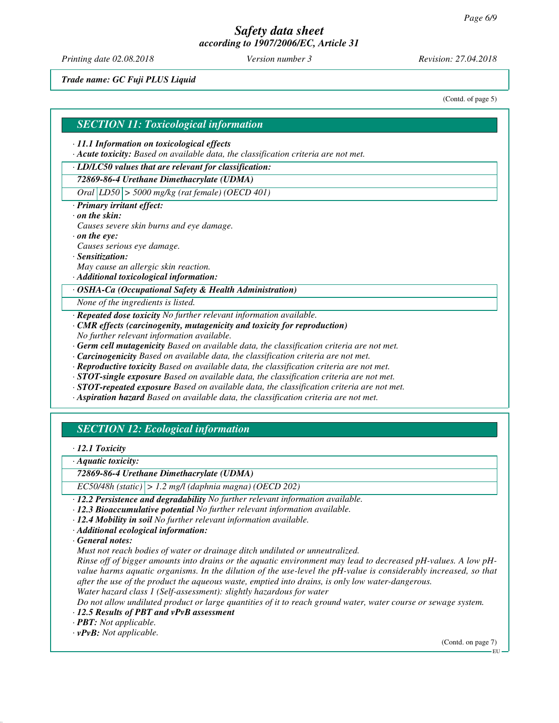*Printing date 02.08.2018 Version number 3 Revision: 27.04.2018*

*Trade name: GC Fuji PLUS Liquid*

(Contd. of page 5)

#### *SECTION 11: Toxicological information*

#### *· 11.1 Information on toxicological effects*

*· Acute toxicity: Based on available data, the classification criteria are not met.*

#### *· LD/LC50 values that are relevant for classification:*

### *72869-86-4 Urethane Dimethacrylate (UDMA)*

*Oral LD50 > 5000 mg/kg (rat female) (OECD 401)*

*· Primary irritant effect:*

#### *· on the skin:*

- *Causes severe skin burns and eye damage.*
- *· on the eye:*

*Causes serious eye damage.*

- *· Sensitization:*
- *May cause an allergic skin reaction.*
- *· Additional toxicological information:*

#### *· OSHA-Ca (Occupational Safety & Health Administration)*

*None of the ingredients is listed.*

- *· Repeated dose toxicity No further relevant information available.*
- *· CMR effects (carcinogenity, mutagenicity and toxicity for reproduction)*
- *No further relevant information available.*
- *· Germ cell mutagenicity Based on available data, the classification criteria are not met.*
- *· Carcinogenicity Based on available data, the classification criteria are not met.*
- *· Reproductive toxicity Based on available data, the classification criteria are not met.*
- *· STOT-single exposure Based on available data, the classification criteria are not met.*
- *· STOT-repeated exposure Based on available data, the classification criteria are not met.*
- *· Aspiration hazard Based on available data, the classification criteria are not met.*

## *SECTION 12: Ecological information*

#### *· 12.1 Toxicity*

*· Aquatic toxicity:*

#### *72869-86-4 Urethane Dimethacrylate (UDMA)*

*EC50/48h (static) > 1.2 mg/l (daphnia magna) (OECD 202)*

- *· 12.2 Persistence and degradability No further relevant information available.*
- *· 12.3 Bioaccumulative potential No further relevant information available.*
- *· 12.4 Mobility in soil No further relevant information available.*
- *· Additional ecological information:*

*· General notes:*

*Must not reach bodies of water or drainage ditch undiluted or unneutralized.*

*Rinse off of bigger amounts into drains or the aquatic environment may lead to decreased pH-values. A low pHvalue harms aquatic organisms. In the dilution of the use-level the pH-value is considerably increased, so that after the use of the product the aqueous waste, emptied into drains, is only low water-dangerous.*

*Water hazard class 1 (Self-assessment): slightly hazardous for water*

*Do not allow undiluted product or large quantities of it to reach ground water, water course or sewage system.*

### *· 12.5 Results of PBT and vPvB assessment*

*· PBT: Not applicable.*

*· vPvB: Not applicable.*

(Contd. on page 7)

EU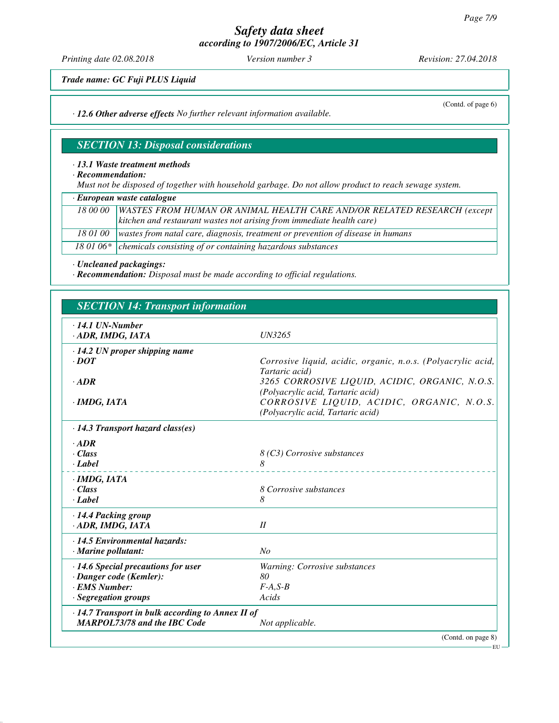*Printing date 02.08.2018 Version number 3 Revision: 27.04.2018*

(Contd. of page 6)

*Trade name: GC Fuji PLUS Liquid*

*· 12.6 Other adverse effects No further relevant information available.*

# *SECTION 13: Disposal considerations*

#### *· 13.1 Waste treatment methods*

*· Recommendation:*

*Must not be disposed of together with household garbage. Do not allow product to reach sewage system.*

*· European waste catalogue*

|  | 18 00 00   WASTES FROM HUMAN OR ANIMAL HEALTH CARE AND/OR RELATED RESEARCH (except         |
|--|--------------------------------------------------------------------------------------------|
|  | kitchen and restaurant wastes not arising from immediate health care)                      |
|  | 18 01 00   wastes from natal care, diagnosis, treatment or prevention of disease in humans |
|  | 18 01 06 $*$ chemicals consisting of or containing hazardous substances                    |

*· Uncleaned packagings:*

*· Recommendation: Disposal must be made according to official regulations.*

| <b>SECTION 14: Transport information</b>                                                                      |                                                                                                                                  |  |
|---------------------------------------------------------------------------------------------------------------|----------------------------------------------------------------------------------------------------------------------------------|--|
| $\cdot$ 14.1 UN-Number<br>· ADR, IMDG, IATA                                                                   | <b>UN3265</b>                                                                                                                    |  |
| $\cdot$ 14.2 UN proper shipping name<br>$\cdot$ DOT                                                           | Corrosive liquid, acidic, organic, n.o.s. (Polyacrylic acid,<br>Tartaric acid)                                                   |  |
| $\cdot$ <i>ADR</i><br>$\cdot$ IMDG, IATA                                                                      | 3265 CORROSIVE LIQUID, ACIDIC, ORGANIC, N.O.S.<br>(Polyacrylic acid, Tartaric acid)<br>CORROSIVE LIQUID, ACIDIC, ORGANIC, N.O.S. |  |
| $\cdot$ 14.3 Transport hazard class(es)                                                                       | (Polyacrylic acid, Tartaric acid)                                                                                                |  |
| $\cdot$ ADR<br>$\cdot Class$<br>· Label                                                                       | 8 (C3) Corrosive substances<br>8                                                                                                 |  |
| $\cdot$ IMDG, IATA<br>$\cdot$ Class<br>· Label                                                                | 8 Corrosive substances<br>8                                                                                                      |  |
| · 14.4 Packing group<br>· ADR, IMDG, IATA                                                                     | II                                                                                                                               |  |
| $\cdot$ 14.5 Environmental hazards:<br>$\cdot$ Marine pollutant:                                              | No                                                                                                                               |  |
| $\cdot$ 14.6 Special precautions for user<br>· Danger code (Kemler):<br>· EMS Number:<br>· Segregation groups | Warning: Corrosive substances<br>80<br>$F-A, S-B$<br>Acids                                                                       |  |
| $\cdot$ 14.7 Transport in bulk according to Annex II of<br><b>MARPOL73/78 and the IBC Code</b>                | Not applicable.                                                                                                                  |  |
|                                                                                                               | (Contd. on page 8)                                                                                                               |  |

EU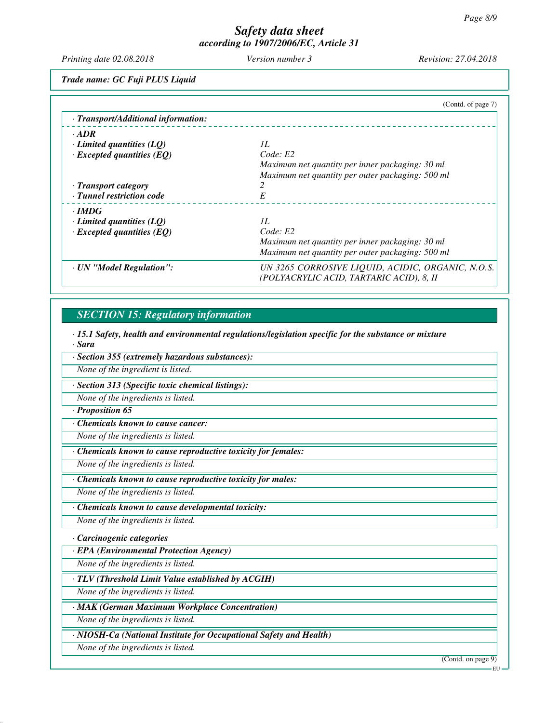*Printing date 02.08.2018 Version number 3 Revision: 27.04.2018*

*Trade name: GC Fuji PLUS Liquid*

|                                     | (Contd. of page 7)                                                                            |
|-------------------------------------|-----------------------------------------------------------------------------------------------|
| · Transport/Additional information: |                                                                                               |
| $\cdot$ ADR                         |                                                                                               |
| $\cdot$ Limited quantities (LQ)     | IL                                                                                            |
| $\cdot$ Excepted quantities (EQ)    | Code: E2                                                                                      |
|                                     | Maximum net quantity per inner packaging: 30 ml                                               |
|                                     | Maximum net quantity per outer packaging: 500 ml                                              |
| $\cdot$ Transport category          |                                                                                               |
| · Tunnel restriction code           | E                                                                                             |
| $\cdot$ IMDG                        |                                                                                               |
| $\cdot$ Limited quantities (LQ)     | II.                                                                                           |
| $\cdot$ Excepted quantities (EQ)    | Code: E2                                                                                      |
|                                     | Maximum net quantity per inner packaging: 30 ml                                               |
|                                     | Maximum net quantity per outer packaging: 500 ml                                              |
| · UN "Model Regulation":            | UN 3265 CORROSIVE LIQUID, ACIDIC, ORGANIC, N.O.S.<br>(POLYACRYLIC ACID, TARTARIC ACID), 8, II |

# *SECTION 15: Regulatory information*

*· 15.1 Safety, health and environmental regulations/legislation specific for the substance or mixture · Sara*

*· Section 355 (extremely hazardous substances):*

*None of the ingredient is listed.*

*· Section 313 (Specific toxic chemical listings):*

*None of the ingredients is listed.*

### *· Proposition 65*

*· Chemicals known to cause cancer:*

*None of the ingredients is listed.*

*· Chemicals known to cause reproductive toxicity for females:*

*None of the ingredients is listed.*

*· Chemicals known to cause reproductive toxicity for males:*

*None of the ingredients is listed.*

*· Chemicals known to cause developmental toxicity:*

*None of the ingredients is listed.*

### *· Carcinogenic categories*

*· EPA (Environmental Protection Agency)*

*None of the ingredients is listed.*

*· TLV (Threshold Limit Value established by ACGIH)*

*None of the ingredients is listed.*

*· MAK (German Maximum Workplace Concentration)*

*None of the ingredients is listed.*

*· NIOSH-Ca (National Institute for Occupational Safety and Health)*

*None of the ingredients is listed.*

(Contd. on page 9)

EU